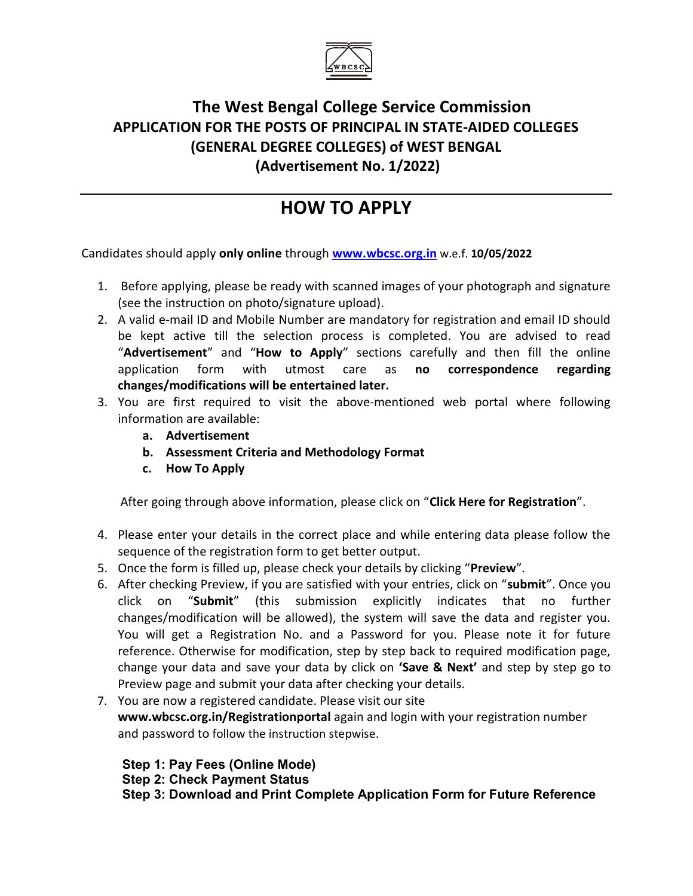

## The West Bengal College Service Commission APPLICATION FOR THE POSTS OF PRINCIPAL IN STATE-AIDED COLLEGES (GENERAL DEGREE COLLEGES) of WEST BENGAL (Advertisement No. 1/2022)

# HOW TO APPLY

Candidates should apply only online through www.wbcsc.org.in w.e.f. 10/05/2022

- 1. Before applying, please be ready with scanned images of your photograph and signature (see the instruction on photo/signature upload).
- 2. A valid e-mail ID and Mobile Number are mandatory for registration and email ID should be kept active till the selection process is completed. You are advised to read "Advertisement" and "How to Apply" sections carefully and then fill the online application form with utmost care as no correspondence regarding changes/modifications will be entertained later.
- 3. You are first required to visit the above-mentioned web portal where following information are available:
	- a. Advertisement
	- b. Assessment Criteria and Methodology Format
	- c. How To Apply

After going through above information, please click on "Click Here for Registration".

- 4. Please enter your details in the correct place and while entering data please follow the sequence of the registration form to get better output.
- 5. Once the form is filled up, please check your details by clicking "Preview".
- 6. After checking Preview, if you are satisfied with your entries, click on "submit". Once you click on "Submit" (this submission explicitly indicates that no further changes/modification will be allowed), the system will save the data and register you. You will get a Registration No. and a Password for you. Please note it for future reference. Otherwise for modification, step by step back to required modification page, change your data and save your data by click on 'Save & Next' and step by step go to Preview page and submit your data after checking your details.
- 7. You are now a registered candidate. Please visit our site www.wbcsc.org.in/Registrationportal again and login with your registration number and password to follow the instruction stepwise.

 Step 1: Pay Fees (Online Mode) Step 2: Check Payment Status Step 3: Download and Print Complete Application Form for Future Reference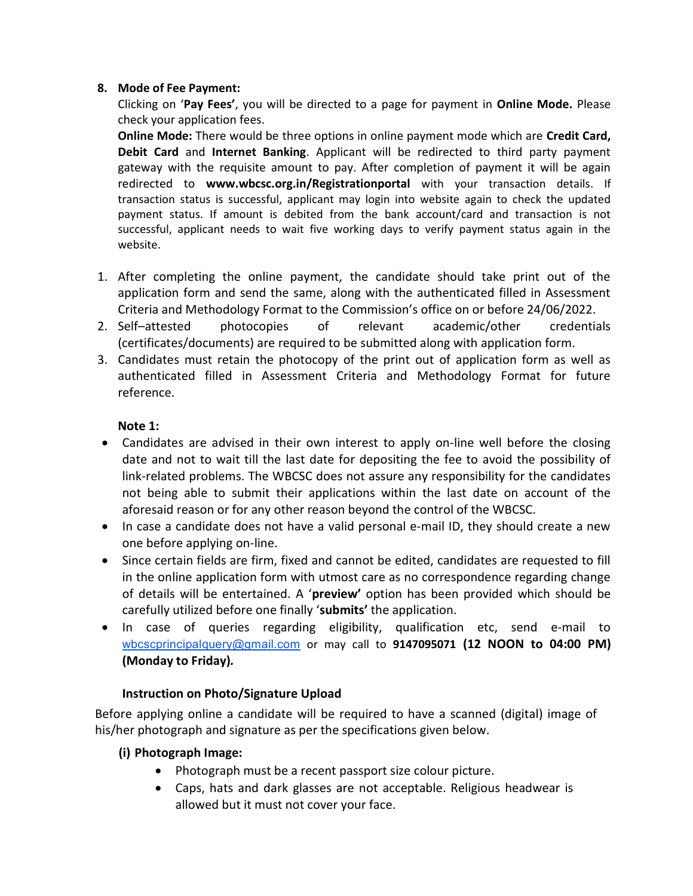#### 8. Mode of Fee Payment:

Clicking on 'Pay Fees', you will be directed to a page for payment in Online Mode. Please check your application fees.

Online Mode: There would be three options in online payment mode which are Credit Card, Debit Card and Internet Banking. Applicant will be redirected to third party payment gateway with the requisite amount to pay. After completion of payment it will be again redirected to www.wbcsc.org.in/Registrationportal with your transaction details. If transaction status is successful, applicant may login into website again to check the updated payment status. If amount is debited from the bank account/card and transaction is not successful, applicant needs to wait five working days to verify payment status again in the website.

- 1. After completing the online payment, the candidate should take print out of the application form and send the same, along with the authenticated filled in Assessment Criteria and Methodology Format to the Commission's office on or before 24/06/2022.
- 2. Self–attested photocopies of relevant academic/other credentials (certificates/documents) are required to be submitted along with application form.
- 3. Candidates must retain the photocopy of the print out of application form as well as authenticated filled in Assessment Criteria and Methodology Format for future reference.

#### Note 1:

- Candidates are advised in their own interest to apply on-line well before the closing date and not to wait till the last date for depositing the fee to avoid the possibility of link-related problems. The WBCSC does not assure any responsibility for the candidates not being able to submit their applications within the last date on account of the aforesaid reason or for any other reason beyond the control of the WBCSC.
- In case a candidate does not have a valid personal e-mail ID, they should create a new one before applying on-line.
- Since certain fields are firm, fixed and cannot be edited, candidates are requested to fill in the online application form with utmost care as no correspondence regarding change of details will be entertained. A 'preview' option has been provided which should be carefully utilized before one finally 'submits' the application.
- In case of queries regarding eligibility, qualification etc, send e-mail to wbcscprincipalquery@gmail.com or may call to 9147095071 (12 NOON to 04:00 PM) (Monday to Friday).

### Instruction on Photo/Signature Upload

Before applying online a candidate will be required to have a scanned (digital) image of his/her photograph and signature as per the specifications given below.

#### (i) Photograph Image:

- Photograph must be a recent passport size colour picture.
- Caps, hats and dark glasses are not acceptable. Religious headwear is allowed but it must not cover your face.